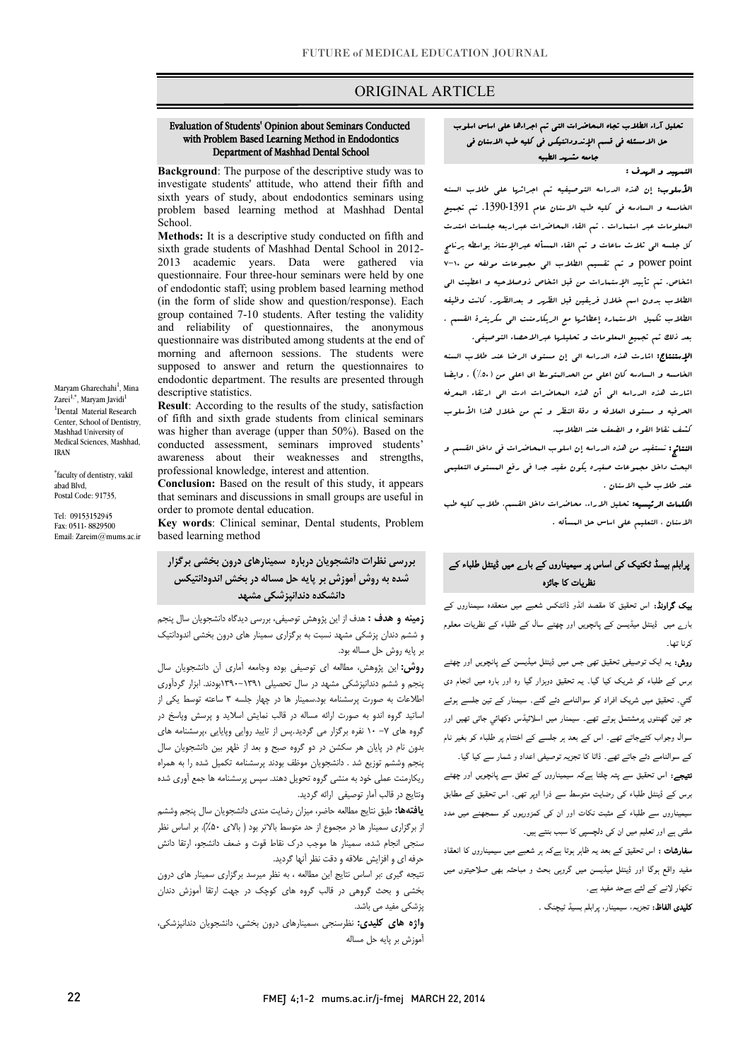## ORIGINAL ARTICLE

#### with Problem Based Learning Method in Endodontics Department of Mashhad Dental School Evaluation of Students' Opinion about Seminars Conducted

Ī

 Background: The purpose of the descriptive study was to investigate students' attitude, who attend their fifth and problem based learning method at Mashhad Dental sixth years of study, about endodontics seminars using School.

sixth grade students of Mashhad Dental School in 2012- 2013 academic years. Data were gathered via questionnaire. Four three-hour seminars were held by one (in the form of slide show and question/response). Each group contained 7-10 students. After testing the validity questionnaire was distributed among students at the end of morning and afternoon sessions. The students were supposed to answer and return the questionnaires to endodontic department. The results are presented through descriptive statistics Methods: It is a descriptive study conducted on fifth and of endodontic staff; using problem based learning method and reliability of questionnaires, the anonymous descriptive statistics.

 Result: According to the results of the study, satisfaction of fifth and sixth grade students from clinical seminars<br>was higher than surveys (wave than  $50\%$ ). Based at the conducted assessment, seminars improved students' awareness about their weaknesses and strengths, was higher than average (upper than 50%). Based on the professional knowledge, interest and attention.

**Conclusion:** Based on the result of this study, it appears that seminars and discussions in small groups are useful in order to promote dental education.

 Key words: Clinical seminar, Dental students, Problem based learning method

 شده به روش آموزش بر پایه حل مساله در بخش اندودانتیکس ر<br>دانشکده دندانپزشکی مشهد بررسی نظرات دانشجویان درباره سمینارهاي درون بخشی برگزار

<mark>زمینه و هدف :</mark> هدف از این پژوهش توصیفی، بررسی دیدگاه دانشجویان سال پنجم و ششم دندان پزشکی مشهد نسبت به برگزاري سمینار هاي درون بخشی اندودانتیک بر پایه روش حل مساله بود.

ر . . . . . .<br>**روش:** این پژوهش، مطالعه ای توصیفی بوده وجامعه آماری آن دانشجویان سال پنجم و ششم دندانپزشکی مشهد در سال تحصیلی 1390-1391بودند. ابزار گردآوري اطلاعات به صورت پرسشنامه بود.سمینار ها در چهار جلسه 3 ساعته توسط یکی از اساتید گروه اندو به صورت ارائه مساله در قالب نمایش اسلاید و پرسش وپاسخ در گروه های ۷– ۱۰ نفره برگزار می گردید.پس از تایید روایی وپایایی ،پرسشنامه های بدون نام در پایان هر سکشن در دو گروه صبح و بعد از ظهر بین دانشجویان سال پیچم وسطم خوری سد . حسیبویان موسط بودند پرسستند دستی سند را به سفراند<br>ریکارمنت عملی خود به منشی گروه تحویل دهند. سپس پرسشنامه ها جمع آوری شده و...<br>ونتایج در قالب آمار توصیفی ارائه گردید. پنجم وششم توزیع شد . دانشجویان موظف بودند پرسشنامه تکمیل شده را به همراه

 یافتهها: طبق نتایج مطالعه حاضر، میزان رضایت مندي دانشجویان سال پنجم وششم از برگزاري سمینار ها در مجموع از حد متوسط بالاتر بود ( بالاي %50). بر اساس نظر سنجی انجام شده، سمینار ها موجب درك نقاط قوت و ضعف دانشجو، ارتقا دانش حرفه اي و افزایش علاقه و دقت نظر آنها گردید.

 نتیجه گیري :بر اساس نتایج این مطالعه ، به نظر میرسد برگزاري سمینار هاي درون بخشی و بحث گروهی در قالب گروه هاي کوچک در جهت ارتقا آموزش دندان پزشکی مفید می باشد.

**واژه های کلیدی:** نظرسنجی ،سمینارهای درون بخشی، دانشجویان دندانپزشکی،<br>استفیر این بایستان آموزش بر پایه حل مساله

### تحلیل آراء الطلاب تجاه المحاضرات التی تم اجراءها علی اساس اسلوب i حل الامسئله فی قسم الإندودانتیکس فی کلیه طب الاسنان فی جامعه مشهد الطبیه

#### التمهید و الهدف :

I

 الأسلوب: إن هذه الدراسه التوصیفیه تم اجرائها علی طلاب السنه الخامسه و السادسه فی کلیه طب الاسنان عام .1390-1391 تم تجمیع المعلومات عبر استمارات . تم القاء المحاضرات عبراربعه جلسات امتدت کل جلسه الی ثلاث ساعات و تم القاء المسأله عبرالإستاذ بواسطه برنامج point power و تم تقسیم الطلاب الی مجموعات مولفه من 7-10 اشخاص. تم تأیید الإستمارات من قبل اشخاص ذوصلاحیه و اعطیت الی الطلاب بدون اسم خلال فریقین قبل الظهر و بعدالظهر. کانت وظیفه الطلاب تکمیل الاستماره إعطائها مع الریکارمنت الی سکریترة القسم . بعد ذلک تم تجمیع المعلومات و تحلیلها عبرالاحصاء التوصیفی.

 الإستنتاج: اشارت هذه الدراسه الی إن مستوي الرضا عند طلاب السنه الخامسه و السادسه کان اعلی من الحدالمتوسط اي اعلی من (%50) . وایضا اشارت هذه الدراسه الی أن هذه المحاضرات ادت الی ارتقاء المعرفه الحرفیه و مستوي العلاقه و دقۀ النظر و تم من خلال هذا الأسلوب کشف نقاط القوه و الضعف عند الطلاب.

 النتائج: نستفید من هذه الدراسه إن اسلوب المحاضرات فی داخل القسم و البحث داخل مجموعات صغیره یکون مفید جدا فی رفع المستوي التعلیمی عند طلاب طب الاسنان .

 الکلمات الرئیسیه: تحلیل الاراء، محاضرات داخل القسم، طلاب کلیه طب الاسنان ، التعلیم علی اساس حل المسأله .

## <sub>ا</sub>رابلم بیسڈ ٹکنیک کی اساس پر سیمیناروں کے بار<sub>ے</sub> میں ڈینٹل طلباء کے<br>۔ نظریات کا جائزہ

**یپک گراونڈ:** اس تحقیق کا مقصد انڈو ڈانٹکس شعبے میں منعقدہ سیمناروں کے بارے میں ڈینٹل میڈیسن کے پانچویں اور چھٹے سال کے طلباء کے نظریات معلوم کے نا تھا۔

ر**وش:** یہ ایک توصیفی تحقیق تھی جس میں ڈینٹل میڈیسن کے پانچویں اور چھٹے برس کے طلباء کو شریک کیا گیا۔ یہ تحقیق دوہزار گیا رہ اور بارہ میں انجام دی گئي۔ تحقیق میں شریک افراد کو سوالنامے دئے گئے۔ سیمنار کے تین جلسے ہوئے بو تین گھنٹوں پرمشتمل ہوتے تھے۔ سیمنار میں اسلائیڈس دکھائی<sub>،</sub> جاتی تھیں اور ۔<br>سوال وجواب کئےجاتے تھے۔ اس کے بعد ہر جلسے کے اختتام پر طلباء کو بغیر نام کے سوالنامے دئے جاتے تھے. ڈاٹا کا تجزیہ توصیفی اعداد و شمار سے کیا گیا.

۔<br>**نتیجے:** اس تحقیق سے پتہ چلتا ہےکہ سیمیناروں کے تعلق سے پانچویں اور چھٹے ۔<br>برس کے ڈینٹل طلباء کی رضایت متوسط سے ذرا اوپر تھی۔ اس تحقیق کے مطابق ۔<br>سیمیناروں سے طلباء کے مثبت نکات اور ان کی کمزوریوں کو سمجھنے میں مدد ۔<br>ملتی ہے اور تعلیم میں ان کی دلچسپی کا سبب بنتے ہیں۔

۔<br>**سفارشات :** اس تحقیق کے بعد یہ ظاہر ہوتا ہےکہ ہر شعبے میں سیمیناروں کا انعقاد وا اور ڈ و و ں ۔<br>نکھار لانے کے لئے بےحد مفید ہے۔ Ï

**تلیدی الفاظ:** تجزیہ، سیمینار، پرابلم بسیڈ ٹیچنگ <sub>-</sub><br>۔

Zarei<sup>1,\*</sup>, Maryam Javidi<sup>1</sup> 1 Dental Material Research Center, School of Dentistry, Mashhad University of Medical Sciences, Mashhad, IRAN

Maryam Gharechahi<sup>1</sup>, Mina

\* faculty of dentistry, vakil abad Blvd, Postal Code: 91735.

Tel: 09153152945 Fax: 0511- 8829500 Email: Zareim@mums.ac.ir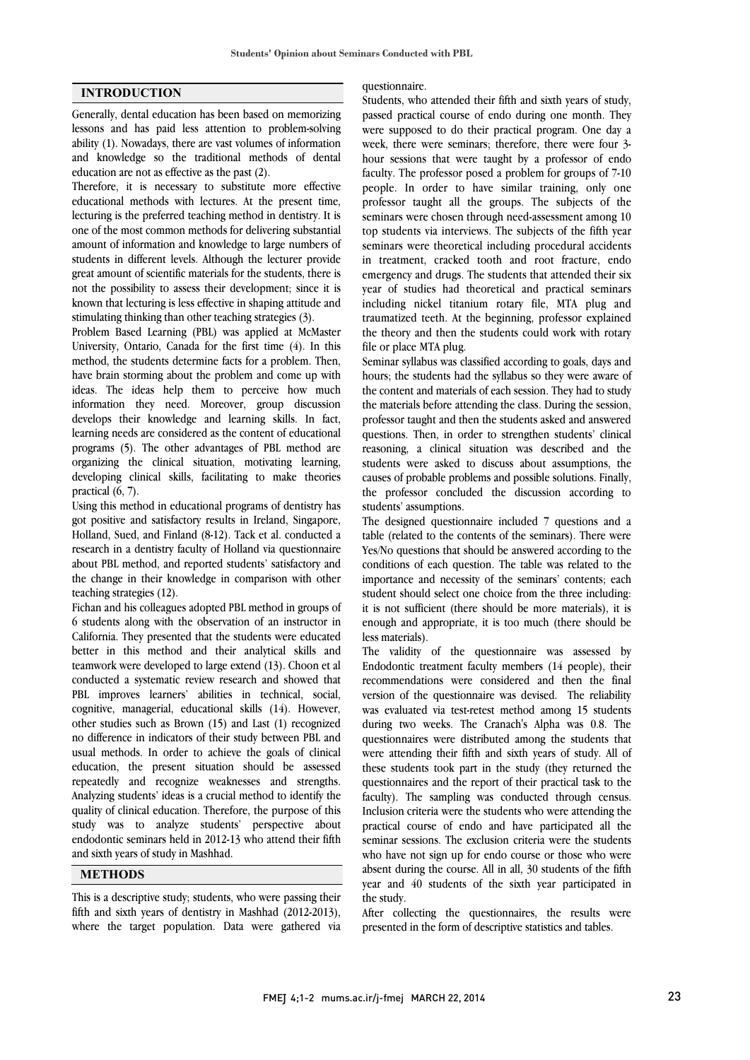## INTRODUCTION

Generally, dental education has been based on memorizing lessons and has paid less attention to problem-solving ability (1). Nowadays, there are vast volumes of information and knowledge so the traditional methods of dental education are not as effective as the past (2).

Therefore, it is necessary to substitute more effective educational methods with lectures. At the present time, lecturing is the preferred teaching method in dentistry. It is one of the most common methods for delivering substantial amount of information and knowledge to large numbers of students in different levels. Although the lecturer provide great amount of scientific materials for the students, there is not the possibility to assess their development; since it is known that lecturing is less effective in shaping attitude and stimulating thinking than other teaching strategies (3).

Problem Based Learning (PBL) was applied at McMaster University, Ontario, Canada for the first time (4). In this method, the students determine facts for a problem. Then, have brain storming about the problem and come up with ideas. The ideas help them to perceive how much information they need. Moreover, group discussion develops their knowledge and learning skills. In fact, learning needs are considered as the content of educational programs (5). The other advantages of PBL method are organizing the clinical situation, motivating learning, developing clinical skills, facilitating to make theories practical (6, 7).

Using this method in educational programs of dentistry has got positive and satisfactory results in Ireland, Singapore, Holland, Sued, and Finland (8-12). Tack et al. conducted a research in a dentistry faculty of Holland via questionnaire about PBL method, and reported students' satisfactory and the change in their knowledge in comparison with other teaching strategies (12).

Fichan and his colleagues adopted PBL method in groups of 6 students along with the observation of an instructor in California. They presented that the students were educated better in this method and their analytical skills and teamwork were developed to large extend (13). Choon et al conducted a systematic review research and showed that PBL improves learners' abilities in technical, social, cognitive, managerial, educational skills (14). However, other studies such as Brown (15) and Last (1) recognized no difference in indicators of their study between PBL and usual methods. In order to achieve the goals of clinical education, the present situation should be assessed repeatedly and recognize weaknesses and strengths. Analyzing students' ideas is a crucial method to identify the quality of clinical education. Therefore, the purpose of this study was to analyze students' perspective about endodontic seminars held in 2012-13 who attend their fifth and sixth years of study in Mashhad.

## **METHODS**

This is a descriptive study; students, who were passing their fifth and sixth years of dentistry in Mashhad (2012-2013), where the target population. Data were gathered via

# questionnaire.

 Students, who attended their fifth and sixth years of study, passed practical course of endo during one month. They were supposed to do their practical program. One day a hour sessions that were taught by a professor of endo faculty. The professor posed a problem for groups of 7-10 people. In order to have similar training, only one professor taught all the groups. The subjects of the top students via interviews. The subjects of the fifth year seminars were theoretical including procedural accidents in treatment, cracked tooth and root fracture, endo emergency and drugs. The students that attended their six including nickel titanium rotary file, MTA plug and traumatized teeth. At the beginning, professor explained the theory and then the students could work with rotary file or place MTA plug. week, there were seminars; therefore, there were four 3 seminars were chosen through need-assessment among 10 year of studies had theoretical and practical seminars

 hours; the students had the syllabus so they were aware of the content and materials of each session. They had to study the materials before attending the class. During the session, professor taught and then the students asked and answered reasoning, a clinical situation was described and the students were asked to discuss about assumptions, the causes of probable problems and possible solutions. Finally, the professor concluded the discussion according to Seminar syllabus was classified according to goals, days and questions. Then, in order to strengthen students' clinical students' assumptions.

 The designed questionnaire included 7 questions and a table (related to the contents of the seminars). There were Yes/No questions that should be answered according to the conditions of each question. The table was related to the student should select one choice from the three including: it is not sufficient (there should be more materials), it is enough and appropriate, it is too much (there should be less materials). importance and necessity of the seminars' contents; each

 Endodontic treatment faculty members (14 people), their recommendations were considered and then the final version of the questionnaire was devised. The reliability was evaluated via test-retest method among 15 students questionnaires were distributed among the students that were attending their fifth and sixth years of study. All of these students took part in the study (they returned the questionnaires and the report of their practical task to the Inclusion criteria were the students who were attending the practical course of endo and have participated all the seminar sessions. The exclusion criteria were the students who have not sign up for endo course or those who were year and 40 students of the sixth year participated in the study. The validity of the questionnaire was assessed by during two weeks. The Cranach's Alpha was 0.8. The faculty). The sampling was conducted through census. absent during the course. All in all, 30 students of the fifth

 After collecting the questionnaires, the results were presented in the form of descriptive statistics and tables.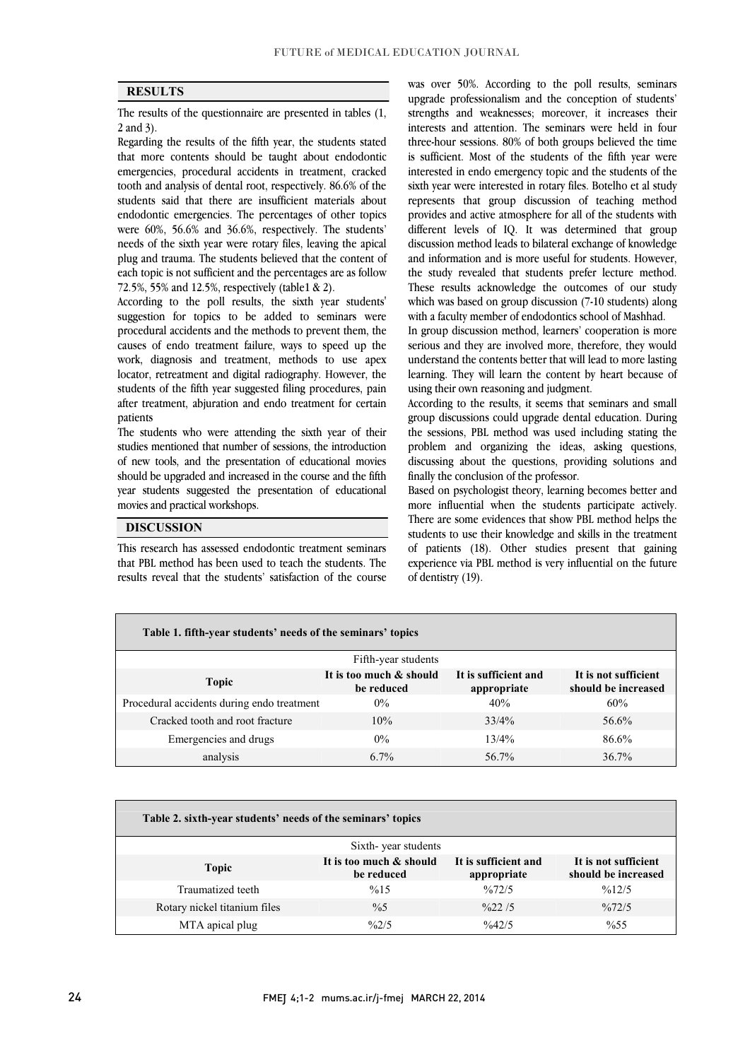<u>.</u>  $\overline{a}$ 

### RESULTS

 The results of the questionnaire are presented in tables (1, 2 and 3).

z and *y*<sub>1</sub>.<br>Regarding the results of the fifth year, the students stated that more contents should be taught about endodontic emergencies, procedural accidents in treatment, cracked tooth and analysis of dental root, respectively. 86.6% of the endodontic emergencies. The percentages of other topics were 60%, 56.6% and 36.6%, respectively. The students' needs of the sixth year were rotary files, leaving the apical plug and trauma. The students believed that the content of 72.5%, 55% and 12.5%, respectively (table1 & 2). students said that there are insufficient materials about each topic is not sufficient and the percentages are as follow

 According to the poll results, the sixth year students' suggestion for topics to be added to seminars were procedural accidents and the methods to prevent them, the causes of endo treatment failure, ways to speed up the locator, retreatment and digital radiography. However, the students of the fifth year suggested filing procedures, pain after treatment, abjuration and endo treatment for certain work, diagnosis and treatment, methods to use apex patients

 The students who were attending the sixth year of their studies mentioned that number of sessions, the introduction of new tools, and the presentation of educational movies should be upgraded and increased in the course and the fifth year students suggested the presentation of educational ֦ movies and practical workshops.

## DISCUSSION

 This research has assessed endodontic treatment seminars results reveal that the students' satisfaction of the course that PBL method has been used to teach the students. The

 $\overline{a}$ 

 was over 50%. According to the poll results, seminars upgrade professionalism and the conception of students' strengths and weaknesses; moreover, it increases their three-hour sessions. 80% of both groups believed the time is sufficient. Most of the students of the fifth year were interested in endo emergency topic and the students of the sixth year were interested in rotary files. Botelho et al study provides and active atmosphere for all of the students with different levels of IQ. It was determined that group discussion method leads to bilateral exchange of knowledge and information and is more useful for students. However, These results acknowledge the outcomes of our study which was based on group discussion (7-10 students) along with a faculty member of endodontics school of Mashhad. interests and attention. The seminars were held in four represents that group discussion of teaching method the study revealed that students prefer lecture method.

 In group discussion method, learners' cooperation is more serious and they are involved more, therefore, they would learning. They will learn the content by heart because of understand the contents better that will lead to more lasting using their own reasoning and judgment.

 According to the results, it seems that seminars and small group discussions could upgrade dental education. During problem and organizing the ideas, asking questions, discussing about the questions, providing solutions and the sessions, PBL method was used including stating the finally the conclusion of the professor.

 more influential when the students participate actively. There are some evidences that show PBL method helps the students to use their knowledge and skills in the treatment of patients (18). Other studies present that gaining experience via PBL method is very influential on the future Based on psychologist theory, learning becomes better and of dentistry (19).

| Table 1. fifth-year students' needs of the seminars' topics |                                     |                                             |  |  |  |  |  |  |  |
|-------------------------------------------------------------|-------------------------------------|---------------------------------------------|--|--|--|--|--|--|--|
| Fifth-year students                                         |                                     |                                             |  |  |  |  |  |  |  |
| It is too much & should<br>be reduced                       | It is sufficient and<br>appropriate | It is not sufficient<br>should be increased |  |  |  |  |  |  |  |
| Procedural accidents during endo treatment<br>$0\%$         | 40%                                 | 60%                                         |  |  |  |  |  |  |  |
| 10%                                                         | 33/4%                               | 56.6%                                       |  |  |  |  |  |  |  |
| $0\%$                                                       | 13/4%                               | 86.6%                                       |  |  |  |  |  |  |  |
| $6.7\%$                                                     | 56.7%                               | 36.7%                                       |  |  |  |  |  |  |  |
|                                                             |                                     |                                             |  |  |  |  |  |  |  |

| Table 2. sixth-year students' needs of the seminars' topics |                                       |                                     |                                             |  |  |  |  |  |  |
|-------------------------------------------------------------|---------------------------------------|-------------------------------------|---------------------------------------------|--|--|--|--|--|--|
| Sixth-year students                                         |                                       |                                     |                                             |  |  |  |  |  |  |
| Topic                                                       | It is too much & should<br>be reduced | It is sufficient and<br>appropriate | It is not sufficient<br>should be increased |  |  |  |  |  |  |
| Traumatized teeth                                           | %15                                   | $\frac{0}{072}/5$                   | $\frac{9}{6}$ 12/5                          |  |  |  |  |  |  |
| Rotary nickel titanium files                                | $\frac{0}{6}$                         | $\frac{0}{0}$ 22.15                 | $\frac{9}{672/5}$                           |  |  |  |  |  |  |
| MTA apical plug                                             | $\frac{9}{2}$ /5                      | $\frac{9}{6}42/5$                   | $\%55$                                      |  |  |  |  |  |  |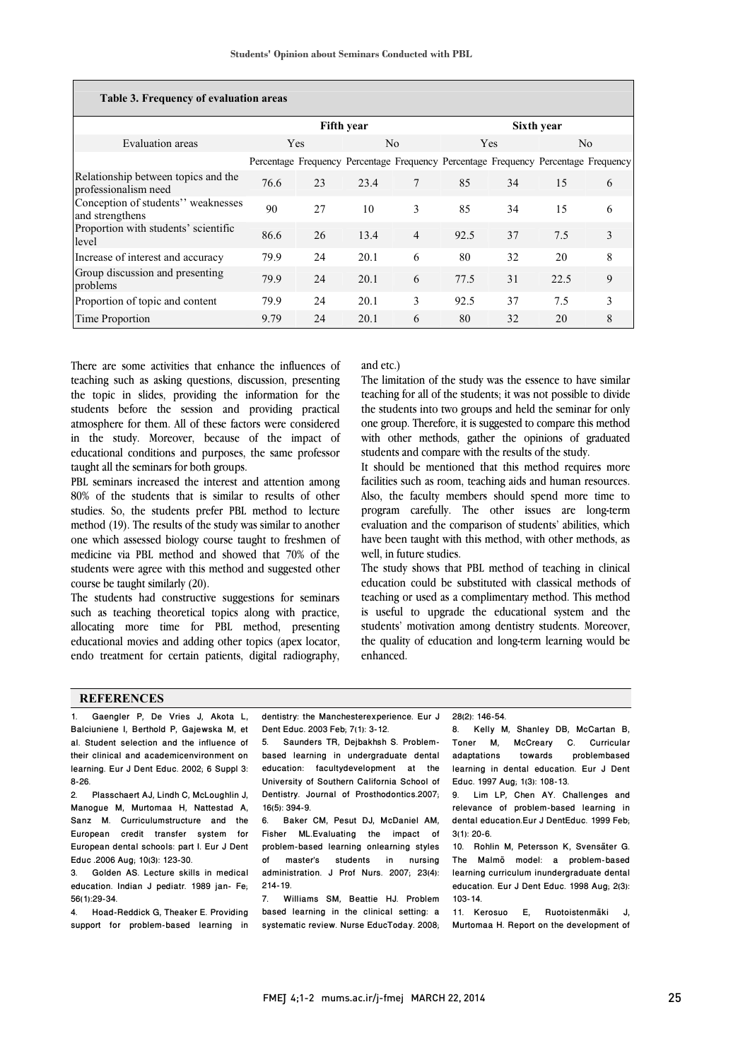$\overline{a}$ 

| Table 3. Frequency of evaluation areas                      |                   |    |                |                |                                                                                     |    |      |   |  |  |  |
|-------------------------------------------------------------|-------------------|----|----------------|----------------|-------------------------------------------------------------------------------------|----|------|---|--|--|--|
|                                                             | <b>Fifth year</b> |    |                |                | Sixth year                                                                          |    |      |   |  |  |  |
| Evaluation areas                                            | <b>Yes</b>        |    | N <sub>0</sub> |                | <b>Yes</b>                                                                          |    | No.  |   |  |  |  |
|                                                             |                   |    |                |                | Percentage Frequency Percentage Frequency Percentage Frequency Percentage Frequency |    |      |   |  |  |  |
| Relationship between topics and the<br>professionalism need | 76.6              | 23 | 23.4           | 7              | 85                                                                                  | 34 | 15   | 6 |  |  |  |
| Conception of students" weaknesses<br>and strengthens       | 90                | 27 | 10             | 3              | 85                                                                                  | 34 | 15   | 6 |  |  |  |
| Proportion with students' scientific<br>level               | 86.6              | 26 | 13.4           | $\overline{4}$ | 92.5                                                                                | 37 | 7.5  | 3 |  |  |  |
| Increase of interest and accuracy                           | 79.9              | 24 | 20.1           | 6              | 80                                                                                  | 32 | 20   | 8 |  |  |  |
| Group discussion and presenting<br>problems                 | 79.9              | 24 | 20.1           | 6              | 77.5                                                                                | 31 | 22.5 | 9 |  |  |  |
| Proportion of topic and content                             | 79.9              | 24 | 20.1           | 3              | 92.5                                                                                | 37 | 7.5  | 3 |  |  |  |
| Time Proportion                                             | 9.79              | 24 | 20.1           | 6              | 80                                                                                  | 32 | 20   | 8 |  |  |  |

There are some activities that enhance the influences of teaching such as asking questions, discussion, presenting the topic in slides, providing the information for the students before the session and providing practical atmosphere for them. All of these factors were considered in the study. Moreover, because of the impact of educational conditions and purposes, the same professor taught all the seminars for both groups.

PBL seminars increased the interest and attention among 80% of the students that is similar to results of other studies. So, the students prefer PBL method to lecture method (19). The results of the study was similar to another one which assessed biology course taught to freshmen of medicine via PBL method and showed that 70% of the students were agree with this method and suggested other course be taught similarly (20).

The students had constructive suggestions for seminars such as teaching theoretical topics along with practice, allocating more time for PBL method, presenting educational movies and adding other topics (apex locator, endo treatment for certain patients, digital radiography, and etc.)

 teaching for all of the students; it was not possible to divide the students into two groups and held the seminar for only one group. Therefore, it is suggested to compare this method with other methods, gather the opinions of graduated The limitation of the study was the essence to have similar students and compare with the results of the study.

It should be mentioned that this method requires more facilities such as room, teaching aids and human resources. Also, the faculty members should spend more time to program carefully. The other issues are long-term have been taught with this method, with other methods, as well, in future studies. evaluation and the comparison of students' abilities, which

 The study shows that PBL method of teaching in clinical education could be substituted with classical methods of is useful to upgrade the educational system and the students' motivation among dentistry students. Moreover, the quality of education and long-term learning would be enhanced. teaching or used as a complimentary method. This method

#### **REFERENCES**

 dentistry: the Manchesterexperience. Eur J Dent Educ. 2003 Feb; 7(1): 3-12.<br>5. Saunders TR, Dejbakhsh S. Problem- based learning in undergraduate dental education: facultydevelopment at the Dentistry. Journal of Prosthodontics.2007; 6. Baker CM, Pesut DJ, McDaniel AM, problem-based learning onlearning styles of master's students in nursing administration. J Prof Nurs. 2007; 23(4): 7. Williams SM, Beattie HJ. Problem based learning in the clinical setting: a systematic review. Nurse EducToday. 2008; 1. Gaengler P, De Vries J, Akota L, Balciuniene I, Berthold P, Gajewska M, et al. Student selection and the influence of their clinical and academicenvironment on learning. Eur J Dent Educ. 2002; 6 Suppl 3: 8-26. 2. Plasschaert AJ, Lindh C, McLoughlin J, Manogue M, Murtomaa H, Nattestad A, Sanz M. Curriculumstructure and the European credit transfer system for European dental schools: part I. Eur J Dent Educ .2006 Aug; 10(3): 123-30. 3. Golden AS. Lecture skills in medical education. Indian J pediatr. 1989 jan- Fe; 56(1):29-34. 4. Hoad-Reddick G, Theaker E. Providing support for problem-based learning in Dent Educ. 2003 Feb; 7(1): 3-12. University of Southern California School of 16(5): 394-9. Fisher ML.Evaluating the impact of  $214 - 19.$ 28(2): 146-54. 8. Kelly M, Shanley DB, McCartan B,<br>Toner M, McCreary C. Curricular Toner M, McCreary C. adaptations towards problembased learning in dental education. Eur J Dent Educ. 1997 Aug; 1(3): 108-13. 9. Lim LP, Chen AY. Challenges and relevance of problem-based learning in dental education.Eur J DentEduc. 1999 Feb; 3(1): 20-6. 10. Rohlin M, Petersson K, Svensäter G. The Malmö model: a problem-based learning curriculum inundergraduate dental education. Eur J Dent Educ. 1998 Aug; 2(3): 103-14. 11. Kerosuo E, Ruotoistenmäki J, Murtomaa H. Report on the development of